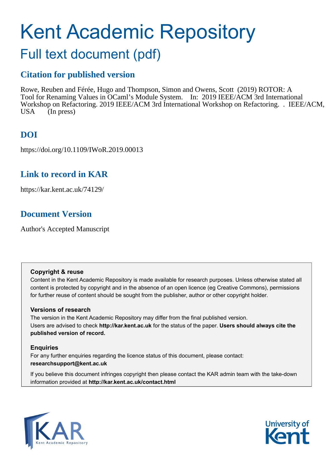# Kent Academic Repository

# Full text document (pdf)

# **Citation for published version**

Rowe, Reuben and Férée, Hugo and Thompson, Simon and Owens, Scott (2019) ROTOR: A Tool for Renaming Values in OCaml's Module System. In: 2019 IEEE/ACM 3rd International Workshop on Refactoring. 2019 IEEE/ACM 3rd International Workshop on Refactoring. . IEEE/ACM, USA (In press)

# **DOI**

https://doi.org/10.1109/IWoR.2019.00013

# **Link to record in KAR**

https://kar.kent.ac.uk/74129/

# **Document Version**

Author's Accepted Manuscript

## **Copyright & reuse**

Content in the Kent Academic Repository is made available for research purposes. Unless otherwise stated all content is protected by copyright and in the absence of an open licence (eg Creative Commons), permissions for further reuse of content should be sought from the publisher, author or other copyright holder.

## **Versions of research**

The version in the Kent Academic Repository may differ from the final published version. Users are advised to check **http://kar.kent.ac.uk** for the status of the paper. **Users should always cite the published version of record.**

## **Enquiries**

For any further enquiries regarding the licence status of this document, please contact: **researchsupport@kent.ac.uk**

If you believe this document infringes copyright then please contact the KAR admin team with the take-down information provided at **http://kar.kent.ac.uk/contact.html**



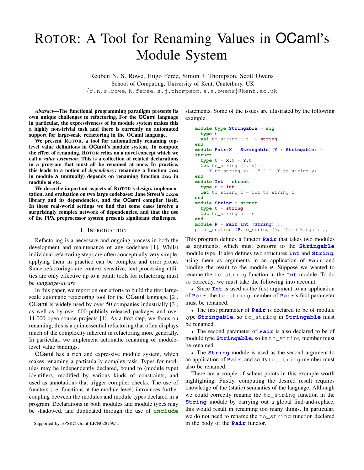# ROTOR: A Tool for Renaming Values in OCaml's Module System

Reuben N. S. Rowe, Hugo Férée, Simon J. Thompson, Scott Owens School of Computing, University of Kent, Canterbury, UK {r.n.s.rowe, h.feree, s.j.thompson, s.a.owens}@kent.ac.uk

*Abstract*—The functional programming paradigm presents its own unique challenges to refactoring. For the **OCaml** language in particular, the expressiveness of its module system makes this a highly non-trivial task and there is currently no automated support for large-scale refactoring in the OCaml language.

We present ROTOR, a tool for automatically renaming toplevel value definitions in **OCaml**'s module system. To compute the effect of renaming, ROTOR relies on a novel concept which we call a *value extension*. This is a collection of related declarations in a program that must all be renamed at once. In practice, this leads to a notion of *dependency*: renaming a function **foo** in module **A** (mutually) depends on renaming function **foo** in module **B** etc.

We describe important aspects of ROTOR's design, implementation, and evaluation on two large codebases: Jane Street's **core** library and its dependencies, and the **OCaml** compiler itself. In these real-world settings we find that some cases involve a surprisingly complex network of dependencies, and that the use of the PPX preprocessor system presents significant challenges.

#### I. INTRODUCTION

Refactoring is a necessary and ongoing process in both the development and maintenance of any codebase [1]. Whilst individual refactoring steps are often conceptually very simple, applying them in practice can be complex and error-prone. Since refactorings are context sensitive, text-processing utilities are only effective up to a point: tools for refactoring must be *language-aware*.

In this paper, we report on our efforts to build the first largescale automatic refactoring tool for the OCaml language [2]. OCaml is widely used by over 50 companies industrially [3], as well as by over 600 publicly released packages and over 11,000 open source projects [4]. As a first step, we focus on renaming; this is a quintessential refactoring that often displays much of the complexity inherent in refactoring more generally. In particular, we implement automatic renaming of modulelevel value bindings.

OCaml has a rich and expressive module system, which makes renaming a particularly complex task. Types for modules may be independently declared, bound to (module type) identifiers, modified by various kinds of constraints, and used as annotations that trigger compiler checks. The use of functors (i.e. functions at the module level) introduces further coupling between the modules and module types declared in a program. Declarations in both modules and module types may be shadowed, and duplicated through the use of **include**

statements. Some of the issues are illustrated by the following example.

```
module type Stringable = sig
  type t
  val to_string : t -> string
end
module Pair(X : Stringable)(Y : Stringable) =
struct
  type t = X, t \times Y, tlet to_string (x, y) =(X.to_string x) ˆ " " ˆ (Y.to_string y)
end
module Int = struct
  type t = int
  let to_string i = int_to_string i
end
module String = struct
  type t = string
  let to_string s = s
end
module P = Pair(Int)(String) ;;
print_endline (P.to_string (5, "Gold Rings") ;;
```
This program defines a functor **Pair** that takes two modules as arguments, which must conform to the **Stringable** module type. It also defines two structures **Int** and **String**, using them as arguments in an application of **Pair** and binding the result to the module **P**. Suppose we wanted to rename the to\_string function in the **Int** module. To do so correctly, we must take the following into account:

• Since **Int** is used as the first argument to an application of **Pair**, the to\_string member of **Pair**'s first parameter must be renamed.

• The first parameter of **Pair** is declared to be of module type **Stringable**, so to\_string in **Stringable** must be renamed.

• The second parameter of **Pair** is also declared to be of module type **Stringable**, so its to\_string member must be renamed.

• The **String** module is used as the second argument to an application of **Pair**, and so its to\_string member must also be renamed.

There are a couple of salient points in this example worth highlighting. Firstly, computing the desired result requires knowledge of the (static) semantics of the language. Although we could correctly rename the to\_string function in the **String** module by carrying out a global find-and-replace, this would result in renaming too many things. In particular, we do not need to rename the to\_string function declared in the body of the **Pair** functor.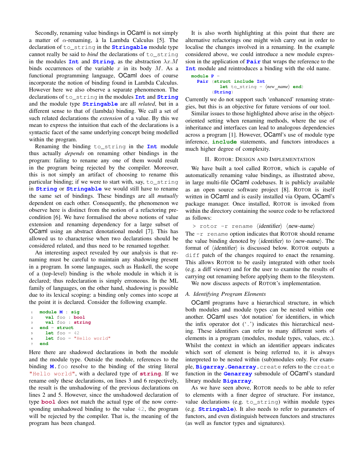Secondly, renaming value bindings in OCaml is not simply a matter of  $\alpha$ -renaming, à la Lambda Calculus [5]. The declaration of to\_string in the **Stringable** module type cannot really be said to *bind* the declarations of to\_string in the modules **Int** and **String**, as the abstraction  $\lambda x.M$ binds occurrences of the variable  $x$  in its body  $M$ . As a functional programming language, OCaml does of course incorporate the notion of binding found in Lambda Calculus. However here we also observe a separate phenomenon. The declarations of to\_string in the modules **Int** and **String** and the module type **Stringable** are all *related*, but in a different sense to that of (lambda) binding. We call a set of such related declarations the *extension* of a value. By this we mean to express the intuition that each of the declarations is a syntactic facet of the same underlying concept being modelled within the program.

Renaming the binding to\_string in the **Int** module thus actually *depends* on renaming other bindings in the program: failing to rename any one of them would result in the program being rejected by the compiler. Moreover, this is not simply an artifact of choosing to rename this particular binding; if we were to start with, say, to\_string in **String** or **Stringable** we would still have to rename the same set of bindings. These bindings are all *mutually* dependent on each other. Consequently, the phenomenon we observe here is distinct from the notion of a refactoring precondition [6]. We have formalised the above notions of value extension and renaming dependency for a large subset of OCaml using an abstract denotational model [7]. This has allowed us to characterise when two declarations should be considered related, and thus need to be renamed together.

An interesting aspect revealed by our analysis is that renaming must be careful to maintain any shadowing present in a program. In some languages, such as Haskell, the scope of a (top-level) binding is the whole module in which it is declared; thus redeclaration is simply erroneous. In the ML family of languages, on the other hand, shadowing is possible due to its lexical scoping: a binding only comes into scope at the point it is declared. Consider the following example.

```
1 module M : sig
2 val foo : bool
3 val foo : string
4 end = struct
    let foo = 426 let foo = "Hello world"
  7 end
```
Here there are shadowed declarations in both the module and the module type. Outside the module, references to the binding **M**. foo resolve to the binding of the string literal "Hello world", with a declared type of **string**. If we rename only these declarations, on lines 3 and 6 respectively, the result is the unshadowing of the previous declarations on lines 2 and 5. However, since the unshadowed declaration of type **bool** does not match the actual type of the now corresponding unshadowed binding to the value 42, the program will be rejected by the compiler. That is, the meaning of the program has been changed.

It is also worth highlighting at this point that there are alternative refactorings one might wish carry out in order to localise the changes involved in a renaming. In the example considered above, we could introduce a new module expression in the application of **Pair** that wraps the reference to the **Int** module and reintroduces a binding with the old name.

```
module P =
  Pair (struct include Int
            let to string = \langle new name \rangle end(String)
```
Currently we do not support such 'enhanced' renaming strategies, but this is an objective for future versions of our tool.

Similar issues to those highlighted above arise in the objectoriented setting when renaming methods, where the use of inheritance and interfaces can lead to analogous dependencies across a program [1]. However, OCaml's use of module type inference, **include** statements, and functors introduces a much higher degree of complexity.

#### II. ROTOR: DESIGN AND IMPLEMENTATION

We have built a tool called ROTOR, which is capable of automatically renaming value bindings, as illustrated above, in large multi-file OCaml codebases. It is publicly available as an open source software project [8]. ROTOR is itself written in OCaml and is easily installed via Opam, OCaml's package manager. Once installed, ROTOR is invoked from within the directory containing the source code to be refactored as follows:

```
> rotor -r rename \langleidentifier\rangle \langlenew-name\rangle
```
The  $-r$  rename option indicates that ROTOR should rename the value binding denoted by  $\langle$ *identifier* $\rangle$  to  $\langle$ *new-name* $\rangle$ . The format of  $\langle$ *identifier* $\rangle$  is discussed below. ROTOR outputs a diff patch of the changes required to enact the renaming. This allows ROTOR to be easily integrated with other tools (e.g. a diff viewer) and for the user to examine the results of carrying out renaming before applying them to the filesystem.

We now discuss aspects of ROTOR's implementation.

#### *A. Identifying Program Elements*

OCaml programs have a hierarchical structure, in which both modules and module types can be nested within one another. OCaml uses 'dot notation' for identifiers, in which the infix operator dot  $($ .  $')$  indicates this hierarchical nesting. These identifiers can refer to many different sorts of elements in a program (modules, module types, values, etc.). Whilst the context in which an identifier appears indicates which sort of element is being referred to, it is always interpreted to be nested within (sub)modules only. For example, **Bigarray**.**Genarray**.create refers to the create function in the **Genarray** submodule of OCaml's standard library module **Bigarray**.

As we have seen above, ROTOR needs to be able to refer to elements with a finer degree of structure. For instance, value declarations (e.g. to\_string) within module types (e.g. **Stringable**). It also needs to refer to parameters of functors, and even distinguish between functors and structures (as well as functor types and signatures).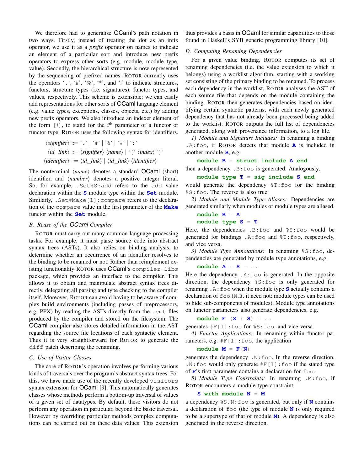We therefore had to generalise OCaml's path notation in two ways. Firstly, instead of treating the dot as an infix operator, we use it as a *prefix* operator on names to indicate an element of a particular sort and introduce new prefix operators to express other sorts (e.g. module, module type, value). Secondly, the hierarchical structure is now represented by the sequencing of prefixed names. ROTOR currently uses the operators '.', '#', '%', '\*', and ':' to indicate structures, functors, structure types (i.e. signatures), functor types, and values, respectively. This scheme is extensible: we can easily add representations for other sorts of OCaml language element (e.g. value types, exceptions, classes, objects, etc.) by adding new prefix operators. We also introduce an indexer element of the form  $[i]$ , to stand for the i<sup>th</sup> parameter of a functor or functor type. ROTOR uses the following syntax for identifiers.

$$
\langle significant\rangle ::= `. \ | * \ | * \ | * \ | * \ | * \ | * \ | * \ | * \ | * \ | * \ \langle id\_link\rangle ::= \langle significant\ \rangle \ \langle identifier\rangle ::= \langle id\_link\rangle \ | \langle id\_link\rangle \ \langle identifier\rangle
$$

The nonterminal *(name)* denotes a standard OCaml (short) identifier, and  $\langle number \rangle$  denotes a positive integer literal. So, for example, .Set%S:add refers to the add value declaration within the **S** module type within the **Set** module. Similarly, .Set#Make[1]:compare refers to the declaration of the compare value in the first parameter of the **Make** functor within the **Set** module.

#### *B. Reuse of the OCaml Compiler*

ROTOR must carry out many common language processing tasks. For example, it must parse source code into abstract syntax trees (ASTs). It also relies on binding analysis, to determine whether an occurrence of an identifier resolves to the binding to be renamed or not. Rather than reimplement existing functionality ROTOR uses OCaml's compiler-libs package, which provides an interface to the compiler. This allows it to obtain and manipulate abstract syntax trees directly, delegating all parsing and type checking to the compiler itself. Moreover, ROTOR can avoid having to be aware of complex build environments (including passes of preprocessors, e.g. PPX) by reading the ASTs directly from the .cmt files produced by the compiler and stored on the filesystem. The OCaml compiler also stores detailed information in the AST regarding the source file locations of each syntactic element. Thus it is very straightforward for ROTOR to generate the diff patch describing the renaming.

#### *C. Use of Visitor Classes*

The core of ROTOR's operation involves performing various kinds of traversals over the program's abstract syntax trees. For this, we have made use of the recently developed visitors syntax extension for OCaml [9]. This automatically generates classes whose methods perform a bottom-up traversal of values of a given set of datatypes. By default, these visitors do not perform any operation in particular, beyond the basic traversal. However by overriding particular methods complex computations can be carried out on these data values. This extension thus provides a basis in OCaml for similar capabilities to those found in Haskell's SYB generic programming library [10].

#### *D. Computing Renaming Dependencies*

For a given value binding, ROTOR computes its set of renaming dependencies (i.e. the value extension to which it belongs) using a worklist algorithm, starting with a working set consisting of the primary binding to be renamed. To process each dependency in the worklist, ROTOR analyses the AST of each source file that depends on the module containing the binding. ROTOR then generates dependencies based on identifying certain syntactic patterns, with each newly generated dependency that has not already been processed being added to the worklist. ROTOR outputs the full list of dependencies generated, along with provenance information, to a log file.

*1) Module and Signature Includes:* In renaming a binding .A:foo, if ROTOR detects that module **A** is included in another module **B**, e.g.

#### **module B** = **struct include A end**

then a dependency .B:foo is generated. Analogously,

#### **module type T** = **sig include S end**

would generate the dependency %T:foo for the binding %S:foo. The reverse is also true.

*2) Module and Module Type Aliases:* Dependencies are generated similarly when modules or module types are aliased.

#### **module B** = **A module type S** = **T**

Here, the dependencies .B:foo and %S:foo would be generated for bindings .A:foo and %T:foo, respectively, and vice versa.

*3) Module Type Annotations:* In renaming %S:foo, dependencies are generated by module type annotations, e.g.

#### **module A** : **S** = . . .

Here the dependency . A: foo is generated. In the opposite direction, the dependency %S:foo is only generated for renaming .A:foo when the module type **S** actually contains a declaration of foo (N.B. it need not: module types can be used to hide sub-components of modules). Module type annotations on functor parameters also generate dependencies, e.g.

#### **module F** (**X** : **S**) = . . .

generates #F[1]:foo for %S:foo, and vice versa.

```
4) Functor Applications: In renaming within functor pa-
rameters, e.g. #F[1]:f\circ\circ, the application
```
#### $\text{module } M = \textbf{F}(N)$

generates the dependency .N:foo. In the reverse direction,  $.N:$  foo would only generate  $#F[1]:$  foo if the stated type of **F**'s first parameter contains a declaration for foo.

*5) Module Type Constraints:* In renaming .M:foo, if ROTOR encounters a module type constraint

#### **S with module N** = **M**

a dependency %S.N:foo is generated, but only if **N** contains a declaration of foo (the type of module **N** is only required to be a supertype of that of module **M**). A dependency is also generated in the reverse direction.